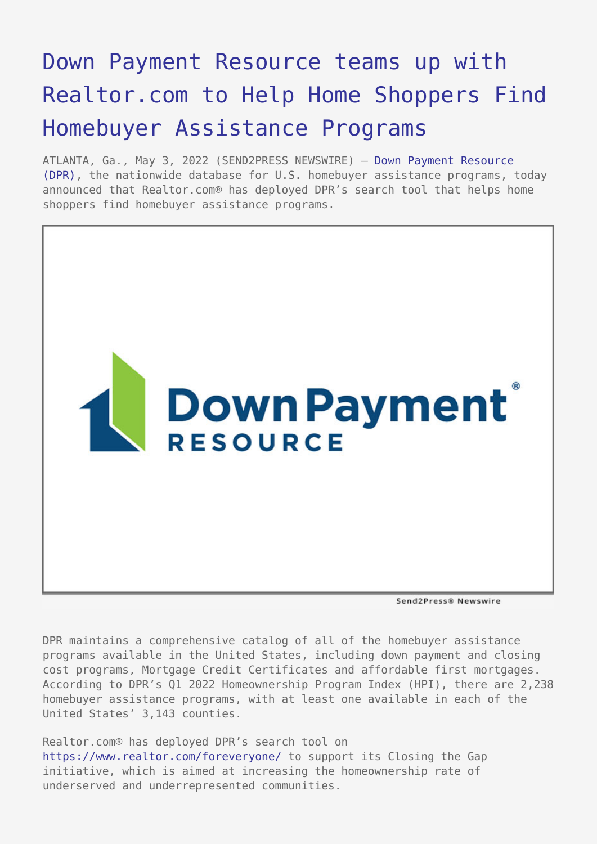## [Down Payment Resource teams up with](https://www.send2press.com/wire/down-payment-resource-teams-up-with-realtor-com-to-help-home-shoppers-find-homebuyer-assistance-programs/) [Realtor.com to Help Home Shoppers Find](https://www.send2press.com/wire/down-payment-resource-teams-up-with-realtor-com-to-help-home-shoppers-find-homebuyer-assistance-programs/) [Homebuyer Assistance Programs](https://www.send2press.com/wire/down-payment-resource-teams-up-with-realtor-com-to-help-home-shoppers-find-homebuyer-assistance-programs/)

ATLANTA, Ga., May 3, 2022 (SEND2PRESS NEWSWIRE) — [Down Payment Resource](https://downpaymentresource.com/) [\(DPR\),](https://downpaymentresource.com/) the nationwide database for U.S. homebuyer assistance programs, today announced that Realtor.com® has deployed DPR's search tool that helps home shoppers find homebuyer assistance programs.



Send2Press® Newswire

DPR maintains a comprehensive catalog of all of the homebuyer assistance programs available in the United States, including down payment and closing cost programs, Mortgage Credit Certificates and affordable first mortgages. According to DPR's Q1 2022 Homeownership Program Index (HPI), there are 2,238 homebuyer assistance programs, with at least one available in each of the United States' 3,143 counties.

Realtor.com® has deployed DPR's search tool on <https://www.realtor.com/foreveryone/>to support its Closing the Gap initiative, which is aimed at increasing the homeownership rate of underserved and underrepresented communities.